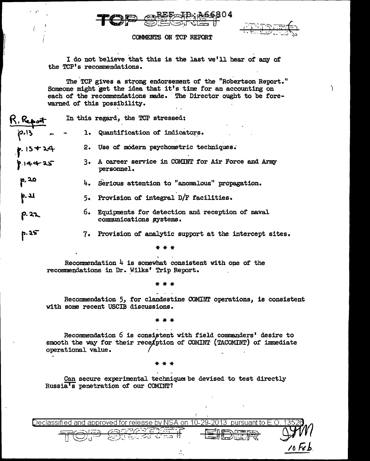

. ,.



 $\lambda$ 

*/()* ~.b.

## COMMENTS ON TCP REPORT

I do not believe that this is the last we'll hear of any of the TCP's recommendations.

The TCP gives a strong endorsement of the "Robertson Report." Someone might get the idea that it's time for an accounting on each of the recommendations made. The Director ought to be forewarned of this possibility.

| R. Report              |    | In this regard, the TCP stressed:                                             |
|------------------------|----|-------------------------------------------------------------------------------|
| $13 - 2$               |    | 1. Quantification of indicators.                                              |
|                        |    | 2. Use of modern psychometric techniques.                                     |
| $P.15+24$<br>$P.14+25$ |    | 3. A career service in COMINT for Air Force and Army<br>personnel.            |
| p. 20                  |    | 4. Serious attention to "anomalous" propagation.                              |
| p. 21                  |    | 5. Provision of integral D/F facilities.                                      |
| p. 22                  |    | 6. Equipments for detection and reception of naval<br>communications systems. |
| P.25                   | 7. | Provision of analytic support at the intercept sites.                         |

\*\*\*

Recommendation  $4$  is somewhat consistent with one of the recommendations in Dr. Wilks' Trip Report.

\*\*\*

Recommendation 5, for clandestine COMINT operations, is consistent with some recent USCIB discussions.

\*\*\*

Recommendation 6 is consistent with field commanders' desire to smooth the way for their rece/ption of COMINT (TACOMINT) of immediate operational value.

\*\*\*

Can secure experimental techniques be devised to test directly Russia's penetration of our COMINT?

 $\mathcal{L}_1$ 

| $\overline{1}$ eclassified and approved for release by NSA on 10-29-2013 $\,$ pursuant to E.O |  |
|-----------------------------------------------------------------------------------------------|--|
|                                                                                               |  |
|                                                                                               |  |
|                                                                                               |  |
|                                                                                               |  |
|                                                                                               |  |

| $-$ |
|-----|
|     |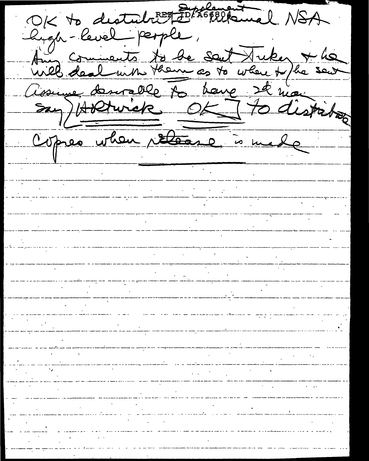OK to destablite for hope and NSA Chigh-level people, Aug comments to be sent tuker & he Assuryer demondelle to have 22 mai say) Holdwick OK Tto distribution Copres when release is made